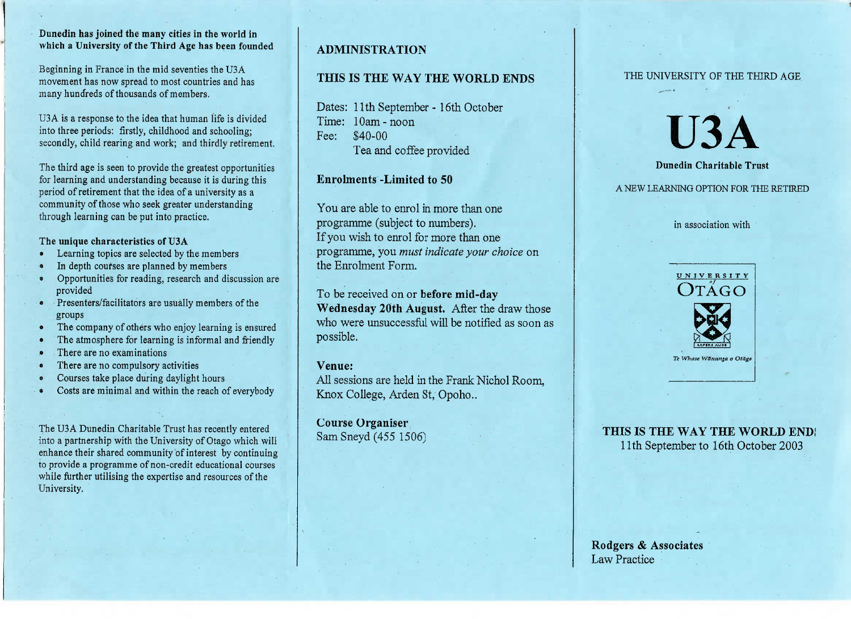### **Dunedin has joined the many cities in the world inwhich a University of the Third Age has been founded**

Beginning in France in the mid seventies the USA movement has now spread to most countries and hasmany hundreds of thousands of members.

USA is a response to the idea that human life is dividedinto three periods: firstly, childhood and schooling;secondly, child rearing and work; and thirdly retirement.

The third age is seen to provide the greatest opportunitiesfor learning and understanding because it is during thisperiod of retirement that the idea of a university as a community of those who seek greater understandingthrough learning can be put into practice.

### **The unique characteristics of U3A**

- Learning topics are selected by the members
- In depth courses are planned by members
- Opportunities for reading, research and discussion areprovided
- Presenters/facilitators are usually members of the groups
- The company of others who enjoy learning is ensured
- The atmosphere for learning is informal and friendly
- There are no examinations
- There are no compulsory activities
- Courses take place during daylight hours
- Costs are minimal and within the reach of everybody

The U3A Dunedin Charitable Trust has recently entered into a partnership with the University of Otago which will enhance their shared community of interest by continuing to provide a programme of non-credit educational courseswhile further utilising the expertise and resources of theUniversity.

# **ADMINISTRATION**

# **THIS IS THE WAY THE WORLD ENDS**

Dates: 11th September - 16th OctoberTime: 10am-noonFee: \$40-00Tea and coffee provided

## **Enrolments -Limited to 50**

You are able to enrol in more than oneprogramme (subject to numbers). If you wish to enrol for more than one programme, you *must indicate your choice* onthe Enrolment Form.

To be received on or **before mid-day Wednesday 20th August.** After the draw those who were unsuccessful will be notified as soon aspossible.

### **Venue:**

 All sessions are held in the Frank Nichol Room,Knox College, Arden St, Opoho..

**Course Organiser**SamSneyd(455 1506)

### THE UNIVERSITY OF THE THIRD AGE

U3A

**Dunedin Charitable Trust**

# A NEW LEARNING OPTION FOR THE RETIRED

in association with



**THIS IS THE WAY THE WORLD END,**11th September to 16th October 2003

**Rodgers & Associates**Law Practice